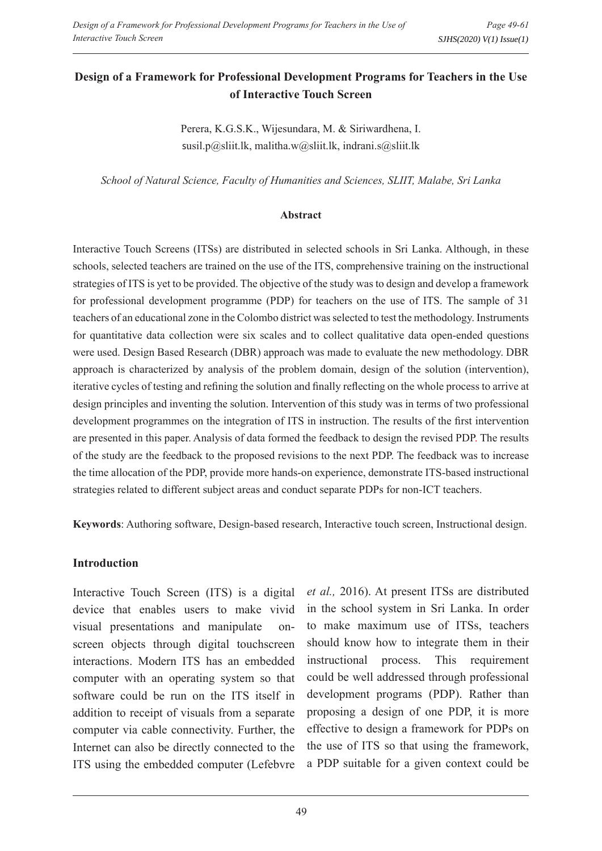# **Design of a Framework for Professional Development Programs for Teachers in the Use of Interactive Touch Screen**

Perera, K.G.S.K., Wijesundara, M. & Siriwardhena, I. susil.p@sliit.lk, malitha.w@sliit.lk, indrani.s@sliit.lk

*School of Natural Science, Faculty of Humanities and Sciences, SLIIT, Malabe, Sri Lanka*

#### **Abstract**

Interactive Touch Screens (ITSs) are distributed in selected schools in Sri Lanka. Although, in these schools, selected teachers are trained on the use of the ITS, comprehensive training on the instructional strategies of ITS is yet to be provided. The objective of the study was to design and develop a framework for professional development programme (PDP) for teachers on the use of ITS. The sample of 31 teachers of an educational zone in the Colombo district was selected to test the methodology. Instruments for quantitative data collection were six scales and to collect qualitative data open-ended questions were used. Design Based Research (DBR) approach was made to evaluate the new methodology. DBR approach is characterized by analysis of the problem domain, design of the solution (intervention), iterative cycles of testing and refining the solution and finally reflecting on the whole process to arrive at design principles and inventing the solution. Intervention of this study was in terms of two professional development programmes on the integration of ITS in instruction. The results of the first intervention are presented in this paper. Analysis of data formed the feedback to design the revised PDP. The results of the study are the feedback to the proposed revisions to the next PDP. The feedback was to increase the time allocation of the PDP, provide more hands-on experience, demonstrate ITS-based instructional strategies related to different subject areas and conduct separate PDPs for non-ICT teachers.

**Keywords**: Authoring software, Design-based research, Interactive touch screen, Instructional design.

#### **Introduction**

Interactive Touch Screen (ITS) is a digital device that enables users to make vivid visual presentations and manipulate onscreen objects through digital touchscreen interactions. Modern ITS has an embedded computer with an operating system so that software could be run on the ITS itself in addition to receipt of visuals from a separate computer via cable connectivity. Further, the Internet can also be directly connected to the ITS using the embedded computer (Lefebvre

*et al.,* 2016). At present ITSs are distributed in the school system in Sri Lanka. In order to make maximum use of ITSs, teachers should know how to integrate them in their instructional process. This requirement could be well addressed through professional development programs (PDP). Rather than proposing a design of one PDP, it is more effective to design a framework for PDPs on the use of ITS so that using the framework, a PDP suitable for a given context could be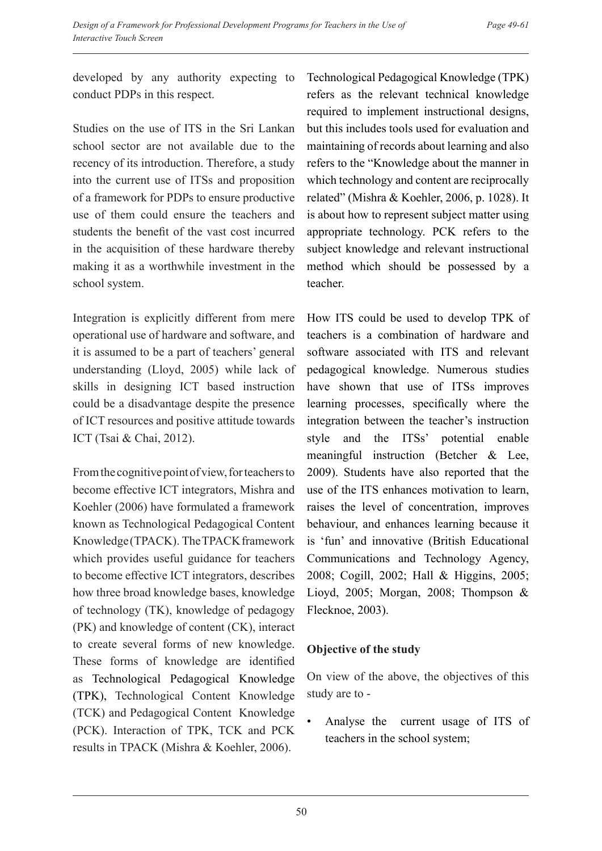developed by any authority expecting to conduct PDPs in this respect.

Studies on the use of ITS in the Sri Lankan school sector are not available due to the recency of its introduction. Therefore, a study into the current use of ITSs and proposition of a framework for PDPs to ensure productive use of them could ensure the teachers and students the benefit of the vast cost incurred in the acquisition of these hardware thereby making it as a worthwhile investment in the school system.

Integration is explicitly different from mere operational use of hardware and software, and it is assumed to be a part of teachers' general understanding (Lloyd, 2005) while lack of skills in designing ICT based instruction could be a disadvantage despite the presence of ICT resources and positive attitude towards ICT (Tsai & Chai, 2012).

From the cognitive point of view, for teachers to become effective ICT integrators, Mishra and Koehler (2006) have formulated a framework known as Technological Pedagogical Content Knowledge (TPACK). The TPACK framework which provides useful guidance for teachers to become effective ICT integrators, describes how three broad knowledge bases, knowledge of technology (TK), knowledge of pedagogy (PK) and knowledge of content (CK), interact to create several forms of new knowledge. These forms of knowledge are identified as Technological Pedagogical Knowledge (TPK), Technological Content Knowledge (TCK) and Pedagogical Content Knowledge (PCK). Interaction of TPK, TCK and PCK results in TPACK (Mishra & Koehler, 2006).

Technological Pedagogical Knowledge (TPK) refers as the relevant technical knowledge required to implement instructional designs, but this includes tools used for evaluation and maintaining of records about learning and also refers to the "Knowledge about the manner in which technology and content are reciprocally related" (Mishra & Koehler, 2006, p. 1028). It is about how to represent subject matter using appropriate technology. PCK refers to the subject knowledge and relevant instructional method which should be possessed by a teacher.

How ITS could be used to develop TPK of teachers is a combination of hardware and software associated with ITS and relevant pedagogical knowledge. Numerous studies have shown that use of ITSs improves learning processes, specifically where the integration between the teacher's instruction style and the ITSs' potential enable meaningful instruction (Betcher & Lee, 2009). Students have also reported that the use of the ITS enhances motivation to learn, raises the level of concentration, improves behaviour, and enhances learning because it is 'fun' and innovative (British Educational Communications and Technology Agency, 2008; Cogill, 2002; Hall & Higgins, 2005; Lioyd, 2005; Morgan, 2008; Thompson & Flecknoe, 2003).

# **Objective of the study**

On view of the above, the objectives of this study are to -

• Analyse the current usage of ITS of teachers in the school system;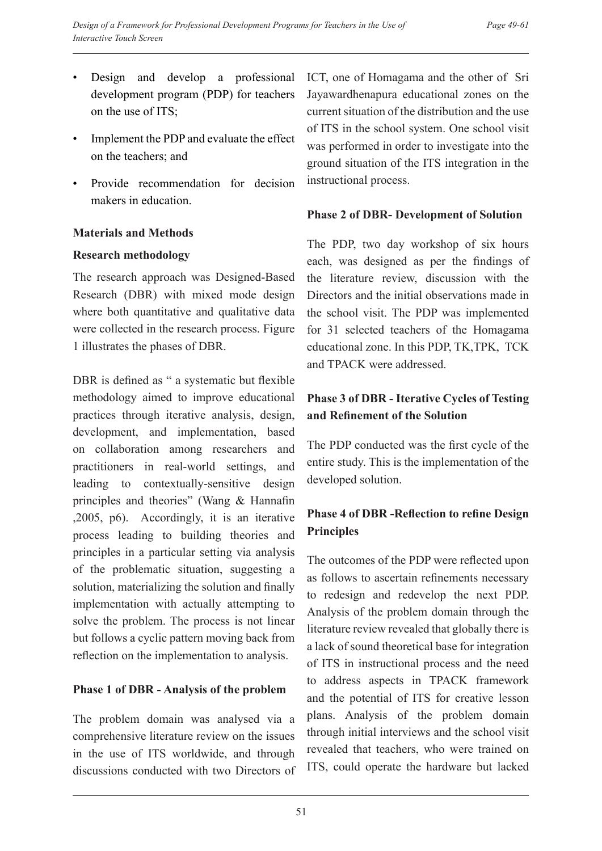- Design and develop a professional development program (PDP) for teachers on the use of ITS;
- Implement the PDP and evaluate the effect on the teachers; and
- Provide recommendation for decision makers in education.

#### **Materials and Methods**

#### **Research methodology**

The research approach was Designed-Based Research (DBR) with mixed mode design where both quantitative and qualitative data were collected in the research process. Figure 1 illustrates the phases of DBR.

DBR is defined as " a systematic but flexible methodology aimed to improve educational practices through iterative analysis, design, development, and implementation, based on collaboration among researchers and practitioners in real-world settings, and leading to contextually-sensitive design principles and theories" (Wang & Hannafin ,2005, p6). Accordingly, it is an iterative process leading to building theories and principles in a particular setting via analysis of the problematic situation, suggesting a solution, materializing the solution and finally implementation with actually attempting to solve the problem. The process is not linear but follows a cyclic pattern moving back from reflection on the implementation to analysis.

## **Phase 1 of DBR - Analysis of the problem**

The problem domain was analysed via a comprehensive literature review on the issues in the use of ITS worldwide, and through discussions conducted with two Directors of ICT, one of Homagama and the other of Sri Jayawardhenapura educational zones on the current situation of the distribution and the use of ITS in the school system. One school visit was performed in order to investigate into the ground situation of the ITS integration in the instructional process.

## **Phase 2 of DBR- Development of Solution**

The PDP, two day workshop of six hours each, was designed as per the findings of the literature review, discussion with the Directors and the initial observations made in the school visit. The PDP was implemented for 31 selected teachers of the Homagama educational zone. In this PDP, TK,TPK, TCK and TPACK were addressed.

# **Phase 3 of DBR - Iterative Cycles of Testing and Refinement of the Solution**

The PDP conducted was the first cycle of the entire study. This is the implementation of the developed solution.

# **Phase 4 of DBR -Reflection to refine Design Principles**

The outcomes of the PDP were reflected upon as follows to ascertain refinements necessary to redesign and redevelop the next PDP. Analysis of the problem domain through the literature review revealed that globally there is a lack of sound theoretical base for integration of ITS in instructional process and the need to address aspects in TPACK framework and the potential of ITS for creative lesson plans. Analysis of the problem domain through initial interviews and the school visit revealed that teachers, who were trained on ITS, could operate the hardware but lacked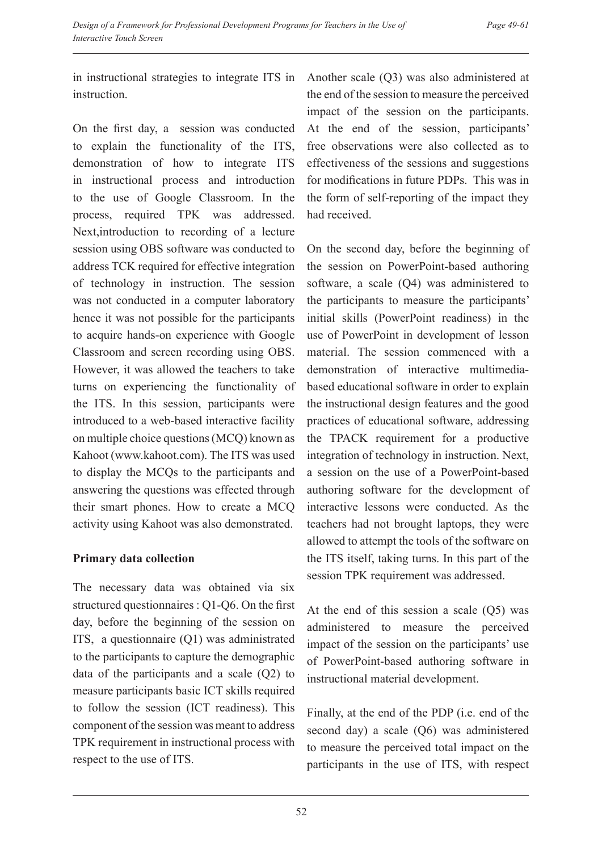in instructional strategies to integrate ITS in instruction.

On the first day, a session was conducted to explain the functionality of the ITS, demonstration of how to integrate ITS in instructional process and introduction to the use of Google Classroom. In the process, required TPK was addressed. Next,introduction to recording of a lecture session using OBS software was conducted to address TCK required for effective integration of technology in instruction. The session was not conducted in a computer laboratory hence it was not possible for the participants to acquire hands-on experience with Google Classroom and screen recording using OBS. However, it was allowed the teachers to take turns on experiencing the functionality of the ITS. In this session, participants were introduced to a web-based interactive facility on multiple choice questions (MCQ) known as Kahoot (www.kahoot.com). The ITS was used to display the MCQs to the participants and answering the questions was effected through their smart phones. How to create a MCQ activity using Kahoot was also demonstrated.

## **Primary data collection**

The necessary data was obtained via six structured questionnaires : Q1-Q6. On the first day, before the beginning of the session on ITS, a questionnaire (Q1) was administrated to the participants to capture the demographic data of the participants and a scale (Q2) to measure participants basic ICT skills required to follow the session (ICT readiness). This component of the session was meant to address TPK requirement in instructional process with respect to the use of ITS.

Another scale (Q3) was also administered at the end of the session to measure the perceived impact of the session on the participants. At the end of the session, participants' free observations were also collected as to effectiveness of the sessions and suggestions for modifications in future PDPs. This was in the form of self-reporting of the impact they had received.

On the second day, before the beginning of the session on PowerPoint-based authoring software, a scale (Q4) was administered to the participants to measure the participants' initial skills (PowerPoint readiness) in the use of PowerPoint in development of lesson material. The session commenced with a demonstration of interactive multimediabased educational software in order to explain the instructional design features and the good practices of educational software, addressing the TPACK requirement for a productive integration of technology in instruction. Next, a session on the use of a PowerPoint-based authoring software for the development of interactive lessons were conducted. As the teachers had not brought laptops, they were allowed to attempt the tools of the software on the ITS itself, taking turns. In this part of the session TPK requirement was addressed.

At the end of this session a scale (Q5) was administered to measure the perceived impact of the session on the participants' use of PowerPoint-based authoring software in instructional material development.

Finally, at the end of the PDP (i.e. end of the second day) a scale (Q6) was administered to measure the perceived total impact on the participants in the use of ITS, with respect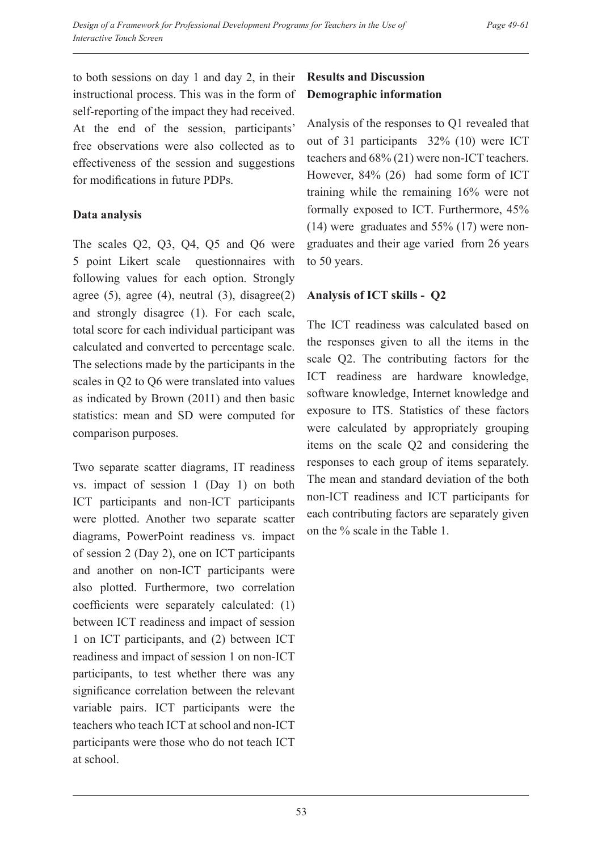to both sessions on day 1 and day 2, in their instructional process. This was in the form of self-reporting of the impact they had received. At the end of the session, participants' free observations were also collected as to effectiveness of the session and suggestions for modifications in future PDPs.

## **Data analysis**

The scales Q2, Q3, Q4, Q5 and Q6 were 5 point Likert scale questionnaires with following values for each option. Strongly agree  $(5)$ , agree  $(4)$ , neutral  $(3)$ , disagree $(2)$ and strongly disagree (1). For each scale, total score for each individual participant was calculated and converted to percentage scale. The selections made by the participants in the scales in Q2 to Q6 were translated into values as indicated by Brown (2011) and then basic statistics: mean and SD were computed for comparison purposes.

Two separate scatter diagrams, IT readiness vs. impact of session 1 (Day 1) on both ICT participants and non-ICT participants were plotted. Another two separate scatter diagrams, PowerPoint readiness vs. impact of session 2 (Day 2), one on ICT participants and another on non-ICT participants were also plotted. Furthermore, two correlation coefficients were separately calculated: (1) between ICT readiness and impact of session 1 on ICT participants, and (2) between ICT readiness and impact of session 1 on non-ICT participants, to test whether there was any significance correlation between the relevant variable pairs. ICT participants were the teachers who teach ICT at school and non-ICT participants were those who do not teach ICT at school.

# **Results and Discussion Demographic information**

Analysis of the responses to Q1 revealed that out of 31 participants 32% (10) were ICT teachers and 68% (21) were non-ICT teachers. However, 84% (26) had some form of ICT training while the remaining 16% were not formally exposed to ICT. Furthermore, 45% (14) were graduates and 55% (17) were nongraduates and their age varied from 26 years to 50 years.

## **Analysis of ICT skills - Q2**

The ICT readiness was calculated based on the responses given to all the items in the scale Q2. The contributing factors for the ICT readiness are hardware knowledge, software knowledge, Internet knowledge and exposure to ITS. Statistics of these factors were calculated by appropriately grouping items on the scale Q2 and considering the responses to each group of items separately. The mean and standard deviation of the both non-ICT readiness and ICT participants for each contributing factors are separately given on the % scale in the Table 1.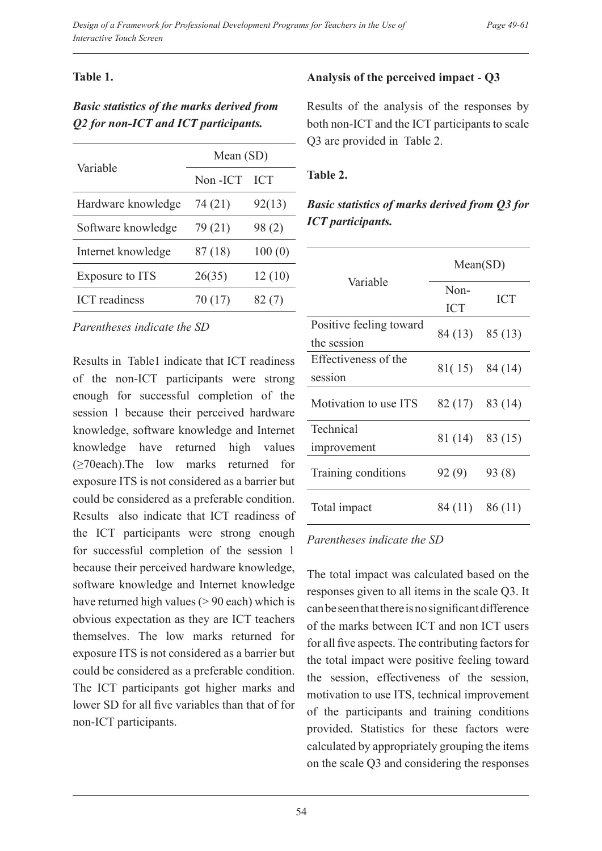#### *Page 49-61*

#### **Table 1.**

# *Basic statistics of the marks derived from Q2 for non-ICT and ICT participants.*

| Variable             | Mean (SD) |            |
|----------------------|-----------|------------|
|                      | Non-ICT   | <b>ICT</b> |
| Hardware knowledge   | 74 (21)   | 92(13)     |
| Software knowledge   | 79 (21)   | 98(2)      |
| Internet knowledge   | 87 (18)   | 100(0)     |
| Exposure to ITS      | 26(35)    | 12(10)     |
| <b>ICT</b> readiness | 70 (17)   | 82(7)      |

*Parentheses indicate the SD*

Results in Table1 indicate that ICT readiness of the non-ICT participants were strong enough for successful completion of the session 1 because their perceived hardware knowledge, software knowledge and Internet knowledge have returned high values (≥70each).The low marks returned for exposure ITS is not considered as a barrier but could be considered as a preferable condition. Results also indicate that ICT readiness of the ICT participants were strong enough for successful completion of the session 1 because their perceived hardware knowledge, software knowledge and Internet knowledge have returned high values (> 90 each) which is obvious expectation as they are ICT teachers themselves. The low marks returned for exposure ITS is not considered as a barrier but could be considered as a preferable condition. The ICT participants got higher marks and lower SD for all five variables than that of for non-ICT participants.

## **Analysis of the perceived impact** - **Q3**

Results of the analysis of the responses by both non-ICT and the ICT participants to scale Q3 are provided in Table 2.

#### **Table 2.**

# *Basic statistics of marks derived from Q3 for ICT participants.*

| Variable                               | Mean(SD)           |            |
|----------------------------------------|--------------------|------------|
|                                        | Non-<br><b>ICT</b> | <b>ICT</b> |
| Positive feeling toward<br>the session | $84(13)$ $85(13)$  |            |
| Effectiveness of the<br>session        | $81(15)$ 84 (14)   |            |
| Motivation to use ITS                  | $82(17)$ $83(14)$  |            |
| Technical<br>improvement               | $81(14)$ $83(15)$  |            |
| Training conditions                    | 92(9)              | 93(8)      |
| Total impact                           | 84 (11) 86 (11)    |            |

#### *Parentheses indicate the SD*

The total impact was calculated based on the responses given to all items in the scale Q3. It can be seen that there is no significant difference of the marks between ICT and non ICT users for all five aspects. The contributing factors for the total impact were positive feeling toward the session, effectiveness of the session, motivation to use ITS, technical improvement of the participants and training conditions provided. Statistics for these factors were calculated by appropriately grouping the items on the scale Q3 and considering the responses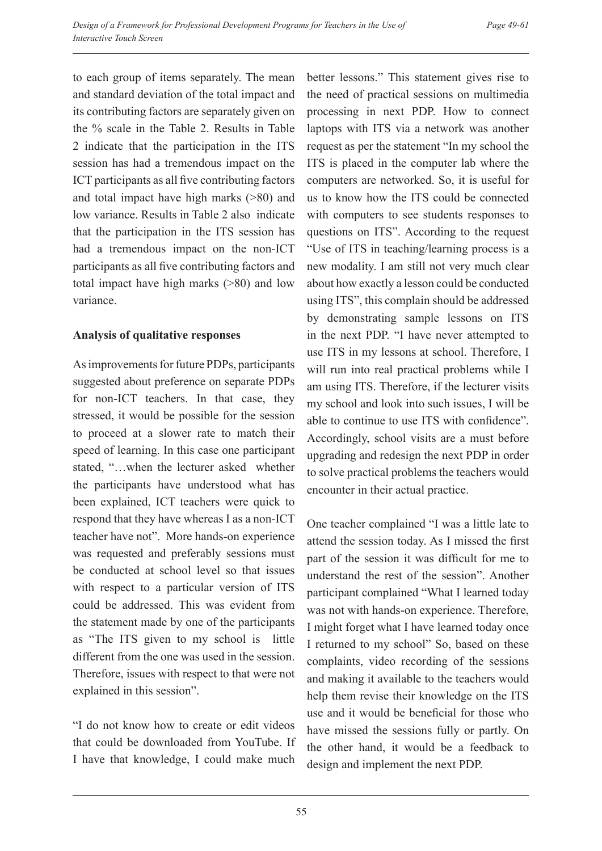to each group of items separately. The mean and standard deviation of the total impact and its contributing factors are separately given on the % scale in the Table 2. Results in Table 2 indicate that the participation in the ITS session has had a tremendous impact on the ICT participants as all five contributing factors and total impact have high marks (>80) and low variance. Results in Table 2 also indicate that the participation in the ITS session has had a tremendous impact on the non-ICT participants as all five contributing factors and total impact have high marks (>80) and low variance.

## **Analysis of qualitative responses**

As improvements for future PDPs, participants suggested about preference on separate PDPs for non-ICT teachers. In that case, they stressed, it would be possible for the session to proceed at a slower rate to match their speed of learning. In this case one participant stated, "…when the lecturer asked whether the participants have understood what has been explained, ICT teachers were quick to respond that they have whereas I as a non-ICT teacher have not". More hands-on experience was requested and preferably sessions must be conducted at school level so that issues with respect to a particular version of ITS could be addressed. This was evident from the statement made by one of the participants as "The ITS given to my school is little different from the one was used in the session. Therefore, issues with respect to that were not explained in this session".

"I do not know how to create or edit videos that could be downloaded from YouTube. If I have that knowledge, I could make much

better lessons." This statement gives rise to the need of practical sessions on multimedia processing in next PDP. How to connect laptops with ITS via a network was another request as per the statement "In my school the ITS is placed in the computer lab where the computers are networked. So, it is useful for us to know how the ITS could be connected with computers to see students responses to questions on ITS". According to the request "Use of ITS in teaching/learning process is a new modality. I am still not very much clear about how exactly a lesson could be conducted using ITS", this complain should be addressed by demonstrating sample lessons on ITS in the next PDP. "I have never attempted to use ITS in my lessons at school. Therefore, I will run into real practical problems while I am using ITS. Therefore, if the lecturer visits my school and look into such issues, I will be able to continue to use ITS with confidence". Accordingly, school visits are a must before upgrading and redesign the next PDP in order to solve practical problems the teachers would encounter in their actual practice.

One teacher complained "I was a little late to attend the session today. As I missed the first part of the session it was difficult for me to understand the rest of the session". Another participant complained "What I learned today was not with hands-on experience. Therefore, I might forget what I have learned today once I returned to my school" So, based on these complaints, video recording of the sessions and making it available to the teachers would help them revise their knowledge on the ITS use and it would be beneficial for those who have missed the sessions fully or partly. On the other hand, it would be a feedback to design and implement the next PDP.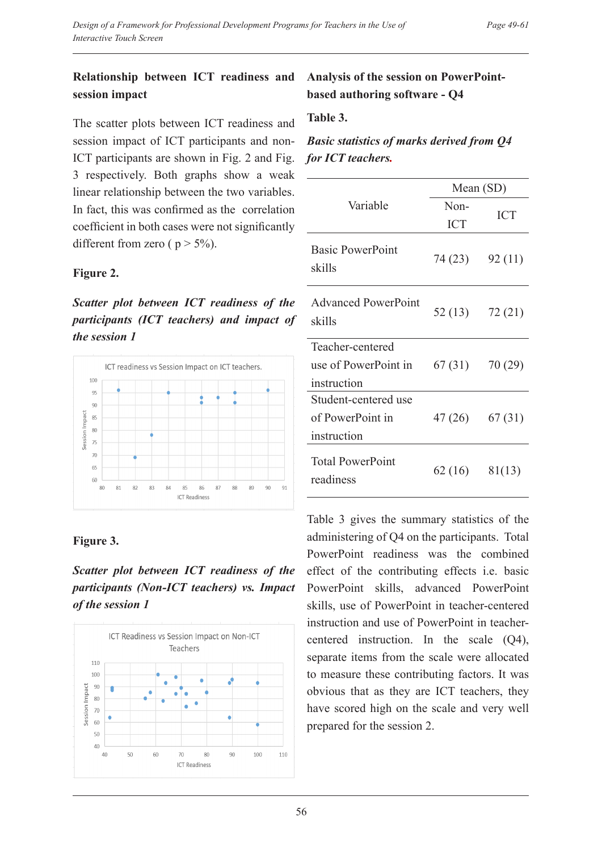## **Relationship between ICT readiness and session impact**

The scatter plots between ICT readiness and session impact of ICT participants and non-ICT participants are shown in Fig. 2 and Fig. 3 respectively. Both graphs show a weak linear relationship between the two variables. In fact, this was confirmed as the correlation coefficient in both cases were not significantly different from zero ( $p > 5\%$ ).

## **Figure 2.**

*Scatter plot between ICT readiness of the participants (ICT teachers) and impact of the session 1*



# **Figure 3.**

*Scatter plot between ICT readiness of the participants (Non-ICT teachers) vs. Impact of the session 1*



# **Analysis of the session on PowerPointbased authoring software - Q4**

#### **Table 3.**

# *Basic statistics of marks derived from Q4 for ICT teachers.*

|                                      | Mean $(SD)$ |            |
|--------------------------------------|-------------|------------|
| Variable                             | Non-        | <b>ICT</b> |
|                                      | <b>ICT</b>  |            |
| <b>Basic PowerPoint</b><br>skills    | 74 (23)     | 92(11)     |
| <b>Advanced PowerPoint</b><br>skills | 52 (13)     | 72(21)     |
| Teacher-centered                     |             |            |
| use of PowerPoint in                 | 67(31)      | 70(29)     |
| instruction                          |             |            |
| Student-centered use                 |             |            |
| of PowerPoint in                     | 47 (26)     | 67(31)     |
| instruction                          |             |            |
| <b>Total PowerPoint</b><br>readiness | 62(16)      | 81(13)     |

Table 3 gives the summary statistics of the administering of Q4 on the participants. Total PowerPoint readiness was the combined effect of the contributing effects i.e. basic PowerPoint skills, advanced PowerPoint skills, use of PowerPoint in teacher-centered instruction and use of PowerPoint in teachercentered instruction. In the scale (Q4), separate items from the scale were allocated to measure these contributing factors. It was obvious that as they are ICT teachers, they have scored high on the scale and very well prepared for the session 2.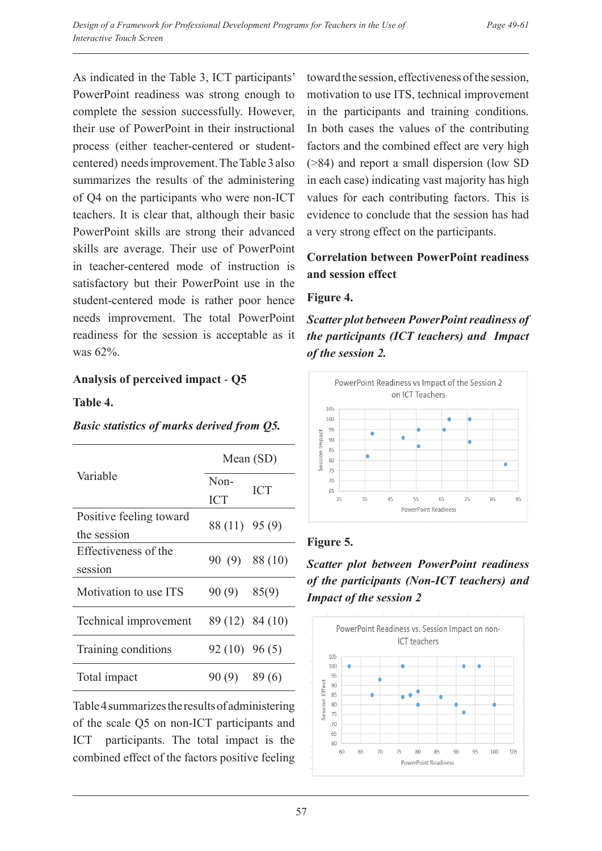As indicated in the Table 3, ICT participants' PowerPoint readiness was strong enough to complete the session successfully. However, their use of PowerPoint in their instructional process (either teacher-centered or studentcentered) needs improvement. The Table 3 also summarizes the results of the administering of Q4 on the participants who were non-ICT teachers. It is clear that, although their basic PowerPoint skills are strong their advanced skills are average. Their use of PowerPoint in teacher-centered mode of instruction is satisfactory but their PowerPoint use in the student-centered mode is rather poor hence needs improvement. The total PowerPoint readiness for the session is acceptable as it was 62%.

## **Analysis of perceived impact** - **Q5**

## **Table 4.**

#### *Basic statistics of marks derived from Q5.*

| Variable                               | Mean $(SD)$        |              |
|----------------------------------------|--------------------|--------------|
|                                        | Non-<br><b>ICT</b> | <b>ICT</b>   |
| Positive feeling toward<br>the session | 88 (11) 95 (9)     |              |
| Effectiveness of the<br>session        |                    | 90(9) 88(10) |
| Motivation to use ITS                  | 90(9)              | 85(9)        |
| Technical improvement                  | 89 (12) 84 (10)    |              |
| Training conditions                    | $92(10)$ $96(5)$   |              |
| Total impact                           | 90(9)              | 89(6)        |

Table 4 summarizes the results of administering of the scale Q5 on non-ICT participants and ICT participants. The total impact is the combined effect of the factors positive feeling toward the session, effectiveness of the session, motivation to use ITS, technical improvement in the participants and training conditions. In both cases the values of the contributing factors and the combined effect are very high (>84) and report a small dispersion (low SD in each case) indicating vast majority has high values for each contributing factors. This is evidence to conclude that the session has had a very strong effect on the participants.

# **Correlation between PowerPoint readiness and session effect**

#### **Figure 4.**

*Scatter plot between PowerPoint readiness of the participants (ICT teachers) and Impact of the session 2.* 



# **Figure 5.**

*Scatter plot between PowerPoint readiness of the participants (Non-ICT teachers) and Impact of the session 2*

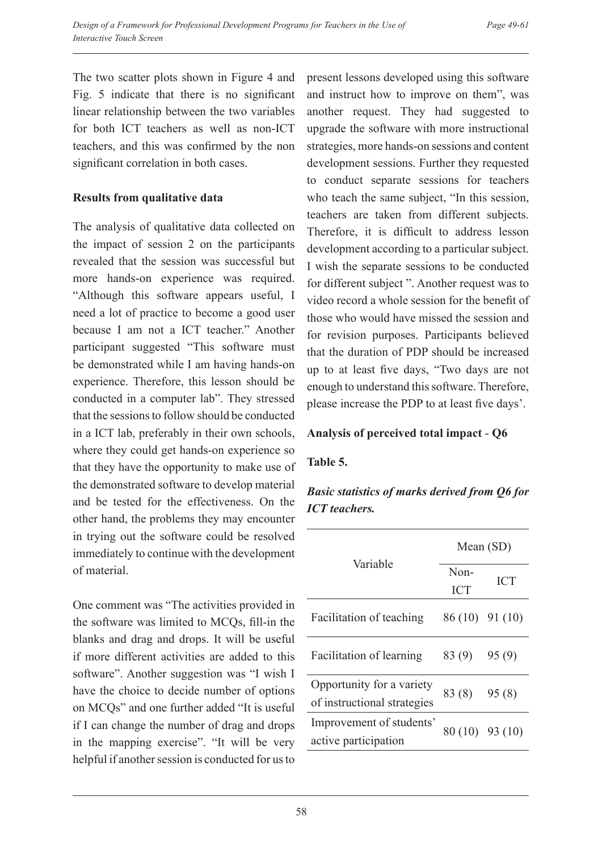The two scatter plots shown in Figure 4 and Fig. 5 indicate that there is no significant linear relationship between the two variables for both ICT teachers as well as non-ICT teachers, and this was confirmed by the non significant correlation in both cases.

## **Results from qualitative data**

The analysis of qualitative data collected on the impact of session 2 on the participants revealed that the session was successful but more hands-on experience was required. "Although this software appears useful, I need a lot of practice to become a good user because I am not a ICT teacher." Another participant suggested "This software must be demonstrated while I am having hands-on experience. Therefore, this lesson should be conducted in a computer lab". They stressed that the sessions to follow should be conducted in a ICT lab, preferably in their own schools, where they could get hands-on experience so that they have the opportunity to make use of the demonstrated software to develop material and be tested for the effectiveness. On the other hand, the problems they may encounter in trying out the software could be resolved immediately to continue with the development of material.

One comment was "The activities provided in the software was limited to MCQs, fill-in the blanks and drag and drops. It will be useful if more different activities are added to this software". Another suggestion was "I wish I have the choice to decide number of options on MCQs" and one further added "It is useful if I can change the number of drag and drops in the mapping exercise". "It will be very helpful if another session is conducted for us to present lessons developed using this software and instruct how to improve on them", was another request. They had suggested to upgrade the software with more instructional strategies, more hands-on sessions and content development sessions. Further they requested to conduct separate sessions for teachers who teach the same subject, "In this session, teachers are taken from different subjects. Therefore, it is difficult to address lesson development according to a particular subject. I wish the separate sessions to be conducted for different subject ". Another request was to video record a whole session for the benefit of those who would have missed the session and for revision purposes. Participants believed that the duration of PDP should be increased up to at least five days, "Two days are not enough to understand this software. Therefore, please increase the PDP to at least five days'.

## **Analysis of perceived total impact** - **Q6**

## **Table 5.**

# *Basic statistics of marks derived from Q6 for ICT teachers.*

| Variable                    | Mean (SD)       |            |
|-----------------------------|-----------------|------------|
|                             | Non-            | <b>ICT</b> |
|                             | <b>ICT</b>      |            |
| Facilitation of teaching    | 86 (10) 91 (10) |            |
| Facilitation of learning    | 83(9)           | 95(9)      |
| Opportunity for a variety   | 83 (8)          | 95(8)      |
| of instructional strategies |                 |            |
| Improvement of students'    | 80 (10) 93 (10) |            |
| active participation        |                 |            |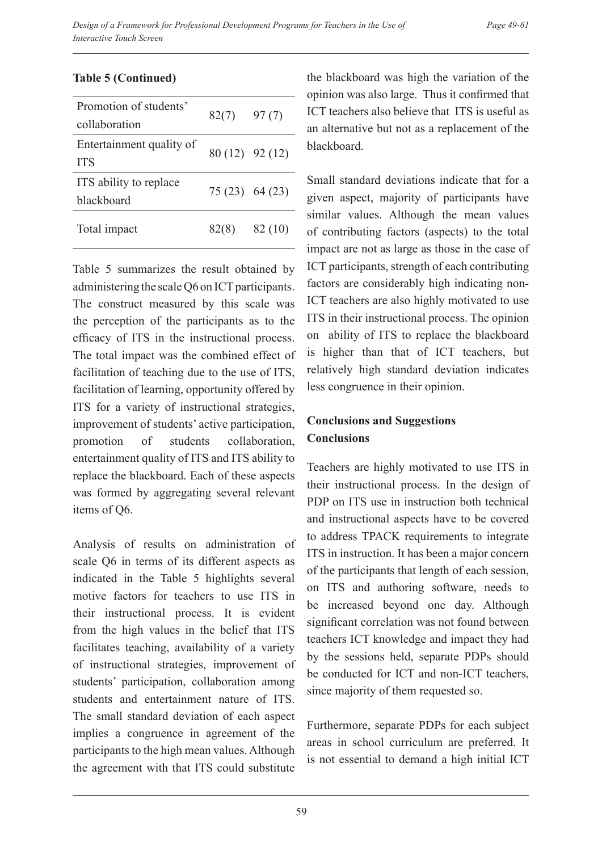| Promotion of students'<br>collaboration | 82(7)           | 97(7)           |
|-----------------------------------------|-----------------|-----------------|
| Entertainment quality of<br><b>ITS</b>  |                 | 80 (12) 92 (12) |
| ITS ability to replace<br>blackboard    | 75 (23) 64 (23) |                 |
| Total impact                            | 82(8)           | 82 (10)         |

#### **Table 5 (Continued)**

Table 5 summarizes the result obtained by administering the scale Q6 on ICT participants. The construct measured by this scale was the perception of the participants as to the efficacy of ITS in the instructional process. The total impact was the combined effect of facilitation of teaching due to the use of ITS, facilitation of learning, opportunity offered by ITS for a variety of instructional strategies, improvement of students' active participation, promotion of students collaboration, entertainment quality of ITS and ITS ability to replace the blackboard. Each of these aspects was formed by aggregating several relevant items of Q6.

Analysis of results on administration of scale Q6 in terms of its different aspects as indicated in the Table 5 highlights several motive factors for teachers to use ITS in their instructional process. It is evident from the high values in the belief that ITS facilitates teaching, availability of a variety of instructional strategies, improvement of students' participation, collaboration among students and entertainment nature of ITS. The small standard deviation of each aspect implies a congruence in agreement of the participants to the high mean values. Although the agreement with that ITS could substitute the blackboard was high the variation of the opinion was also large. Thus it confirmed that ICT teachers also believe that ITS is useful as an alternative but not as a replacement of the blackboard.

Small standard deviations indicate that for a given aspect, majority of participants have similar values. Although the mean values of contributing factors (aspects) to the total impact are not as large as those in the case of ICT participants, strength of each contributing factors are considerably high indicating non-ICT teachers are also highly motivated to use ITS in their instructional process. The opinion on ability of ITS to replace the blackboard is higher than that of ICT teachers, but relatively high standard deviation indicates less congruence in their opinion.

# **Conclusions and Suggestions Conclusions**

Teachers are highly motivated to use ITS in their instructional process. In the design of PDP on ITS use in instruction both technical and instructional aspects have to be covered to address TPACK requirements to integrate ITS in instruction. It has been a major concern of the participants that length of each session, on ITS and authoring software, needs to be increased beyond one day. Although significant correlation was not found between teachers ICT knowledge and impact they had by the sessions held, separate PDPs should be conducted for ICT and non-ICT teachers, since majority of them requested so.

Furthermore, separate PDPs for each subject areas in school curriculum are preferred. It is not essential to demand a high initial ICT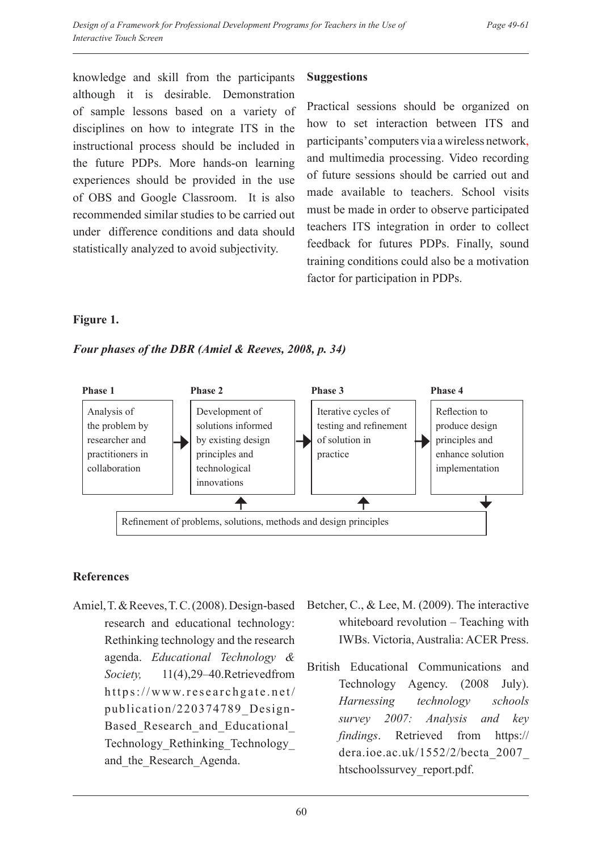knowledge and skill from the participants although it is desirable. Demonstration of sample lessons based on a variety of disciplines on how to integrate ITS in the instructional process should be included in the future PDPs. More hands-on learning experiences should be provided in the use of OBS and Google Classroom. It is also recommended similar studies to be carried out under difference conditions and data should statistically analyzed to avoid subjectivity.

#### **Suggestions**

Practical sessions should be organized on how to set interaction between ITS and participants' computers via a wireless network, and multimedia processing. Video recording of future sessions should be carried out and made available to teachers. School visits must be made in order to observe participated teachers ITS integration in order to collect feedback for futures PDPs. Finally, sound training conditions could also be a motivation factor for participation in PDPs.

## **Figure 1.**

*Four phases of the DBR (Amiel & Reeves, 2008, p. 34)*



## **References**

- Amiel, T. & Reeves, T. C. (2008). Design-based research and educational technology: Rethinking technology and the research agenda. *Educational Technology & Society,* 11(4),29–40.Retrievedfrom https://www.researchgate.net/ publication/220374789\_Design-Based Research and Educational Technology\_Rethinking\_Technology\_ and the Research Agenda.
- Betcher, C., & Lee, M. (2009). The interactive whiteboard revolution – Teaching with IWBs. Victoria, Australia: ACER Press.
- British Educational Communications and Technology Agency. (2008 July). *Harnessing technology schools survey 2007: Analysis and key findings*. Retrieved from https:// dera.ioe.ac.uk/1552/2/becta\_2007\_ htschoolssurvey\_report.pdf.